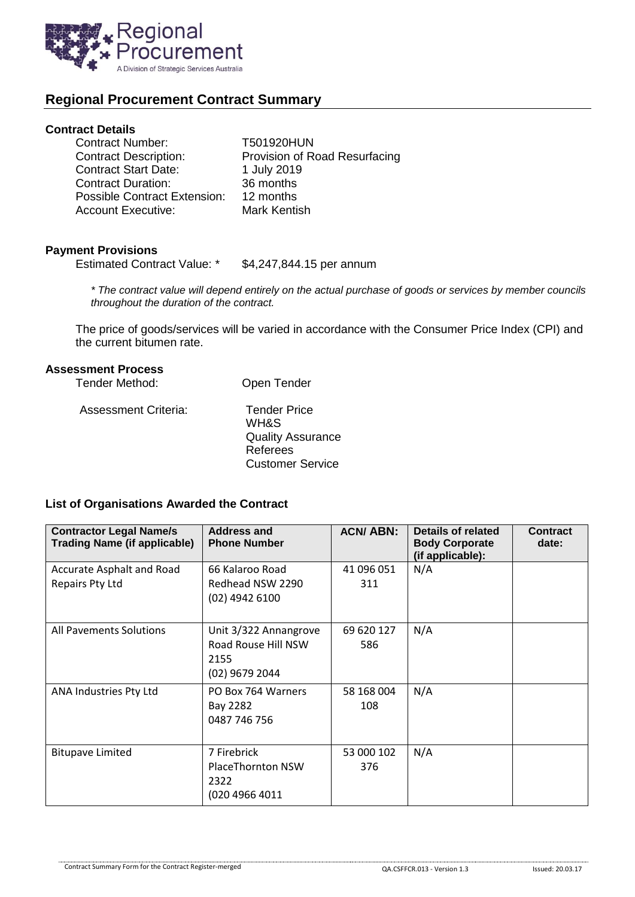

# **Regional Procurement Contract Summary**

#### **Contract Details**

| <b>Contract Number:</b>      | T501920HUN                    |
|------------------------------|-------------------------------|
| <b>Contract Description:</b> | Provision of Road Resurfacing |
| <b>Contract Start Date:</b>  | 1 July 2019                   |
| <b>Contract Duration:</b>    | 36 months                     |
| Possible Contract Extension: | 12 months                     |
| <b>Account Executive:</b>    | Mark Kentish                  |

### **Payment Provisions**

Estimated Contract Value: \* \$4,247,844.15 per annum

*\* The contract value will depend entirely on the actual purchase of goods or services by member councils throughout the duration of the contract.*

The price of goods/services will be varied in accordance with the Consumer Price Index (CPI) and the current bitumen rate.

#### **Assessment Process**

| Tender Method:       | Open Tender              |
|----------------------|--------------------------|
| Assessment Criteria: | <b>Tender Price</b>      |
|                      | <b>WH&amp;S</b>          |
|                      | <b>Quality Assurance</b> |
|                      | Referees                 |
|                      | <b>Customer Service</b>  |

## **List of Organisations Awarded the Contract**

| <b>Contractor Legal Name/s</b><br><b>Trading Name (if applicable)</b> | <b>Address and</b><br><b>Phone Number</b>                              | <b>ACN/ABN:</b>   | Details of related<br><b>Body Corporate</b><br>(if applicable): | <b>Contract</b><br>date: |
|-----------------------------------------------------------------------|------------------------------------------------------------------------|-------------------|-----------------------------------------------------------------|--------------------------|
| Accurate Asphalt and Road<br>Repairs Pty Ltd                          | 66 Kalaroo Road<br>Redhead NSW 2290<br>(02) 4942 6100                  | 41 096 051<br>311 | N/A                                                             |                          |
| All Pavements Solutions                                               | Unit 3/322 Annangrove<br>Road Rouse Hill NSW<br>2155<br>(02) 9679 2044 | 69 620 127<br>586 | N/A                                                             |                          |
| ANA Industries Pty Ltd                                                | PO Box 764 Warners<br>Bay 2282<br>0487 746 756                         | 58 168 004<br>108 | N/A                                                             |                          |
| <b>Bitupave Limited</b>                                               | 7 Firebrick<br><b>PlaceThornton NSW</b><br>2322<br>(020 4966 4011      | 53 000 102<br>376 | N/A                                                             |                          |